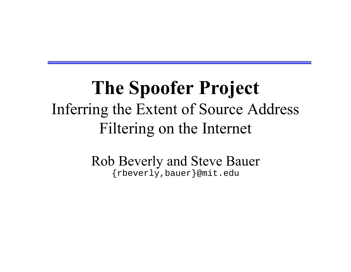### **The Spoofer Project** Inferring the Extent of Source Address Filtering on the Internet

Rob Beverly and Steve Bauer {rbeverly,bauer}@mit.edu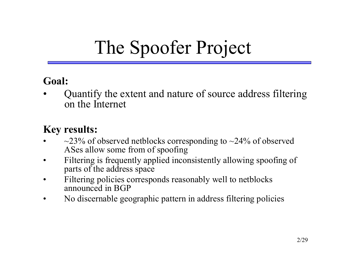# The Spoofer Project

#### **Goal:**

ï Quantify the extent and nature of source address filtering on the Internet

#### **Key results:**

- ï $\sim$ 23% of observed netblocks corresponding to  $\sim$ 24% of observed ASes allow some from of spoofing
- $\bullet$  Filtering is frequently applied inconsistently allowing spoofing of parts of the address space
- $\bullet$  Filtering policies corresponds reasonably well to netblocks announced in BGP
- $\bullet$ No discernable geographic pattern in address filtering policies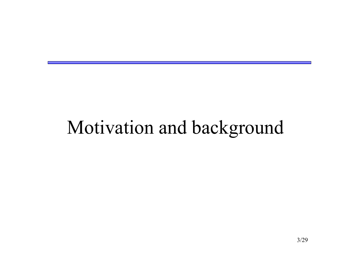## Motivation and background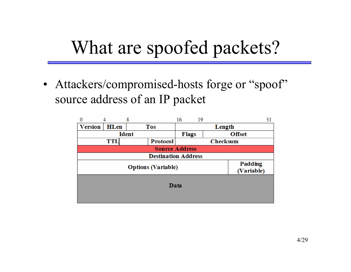# What are spoofed packets?

• Attackers/compromised-hosts forge or "spoof" source address of an IP packet

|                            |                       | 8               | 16              | 19 | 31            |  |  |  |
|----------------------------|-----------------------|-----------------|-----------------|----|---------------|--|--|--|
| <b>Version</b>             | HLen                  | <b>Tos</b>      | Length          |    |               |  |  |  |
| <b>Ident</b>               |                       |                 | <b>Flags</b>    |    | <b>Offset</b> |  |  |  |
|                            | <b>TTL</b>            | <b>Protocol</b> | <b>Checksum</b> |    |               |  |  |  |
| <b>Source Address</b>      |                       |                 |                 |    |               |  |  |  |
| <b>Destination Address</b> |                       |                 |                 |    |               |  |  |  |
|                            | Padding<br>(Variable) |                 |                 |    |               |  |  |  |
| Data                       |                       |                 |                 |    |               |  |  |  |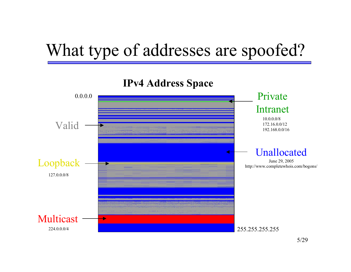### What type of addresses are spoofed?

#### **IPv4 Address Space**

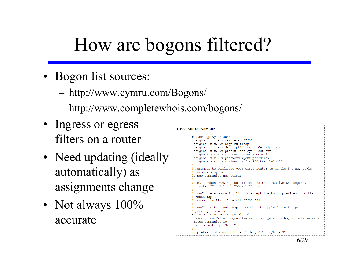# How are bogons filtered?

- Bogon list sources:
	- ñhttp://www.cymru.com/Bogons/
	- http://www.completewhois.com/bogons/
- Ingress or egress filters on a router
- Need updating (ideally automatically) as assignments change
- Not always  $100\%$ accurate

#### Cisco router example:

```
router bgp <your asn>
neighbor x.x.x.x remote-as 65333
neighbor x.x.x.x ebgp-multihop 255
neighbor x.x.x.x description <your description>
neighbor x.x.x.x prefix-list cymru-out out
neighbor x.x.x.x route-map CYMRUBOGONS in
neighbor x.x.x.x password <your password>
neighbor x.x.x.x maximum-prefix 100 threshold 90
! Remember to configure your Cisco router to handle the new style
! community syntax.
ip bgp-community new-format
! Set a bogon next-hop on all routers that receive the bogons.
ip route 192.0.2.1 255.255.255.255 null0
 Configure a community list to accept the bogon prefixes into the
! route-map.
ip community-list 10 permit 65333:888
! Configure the route-map. Remember to apply it to the proper
 peering sessions.
route-map CYMRUBOGONS permit 10
description Filter bogons learned from cymru.com bogon route-servers
match community 10
set ip next-hop 192.0.2.1
ip prefix-list cymru-out seq 5 deny 0.0.0.0/0 le 32
```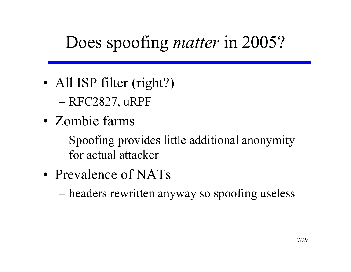### Does spoofing *matter* in 2005?

- All ISP filter (right?)
	- **na 1990** RFC2827, uRPF
- Zombie farms
	- ñ Spoofing provides little additional anonymity for actual attacker
- Prevalence of NATs

ñheaders rewritten anyway so spoofing useless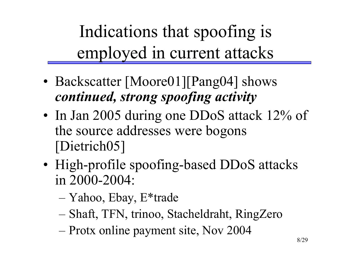Indications that spoofing is employed in current attacks

- Backscatter [Moore01][Pang04] shows *continued, strong spoofing activity*
- In Jan 2005 during one DDoS attack 12% of the source addresses were bogons [Dietrich05]
- High-profile spoofing-based DDoS attacks in 2000-2004:
	- ñYahoo, Ebay, E\*trade
	- **na 1990** Shaft, TFN, trinoo, Stacheldraht, RingZero
	- ñProtx online payment site, Nov 2004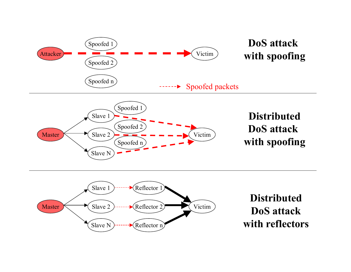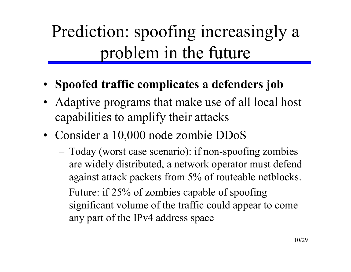## Prediction: spoofing increasingly a problem in the future

- ï **Spoofed traffic complicates a defenders job**
- Adaptive programs that make use of all local host capabilities to amplify their attacks
- Consider a 10,000 node zombie DDoS
	- ñ Today (worst case scenario): if non-spoofing zombies are widely distributed, a network operator must defend against attack packets from 5% of routeable netblocks.
	- ñ Future: if 25% of zombies capable of spoofing significant volume of the traffic could appear to come any part of the IPv4 address space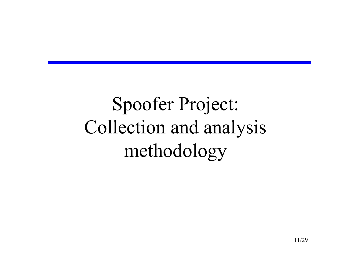Spoofer Project: Collection and analysis methodology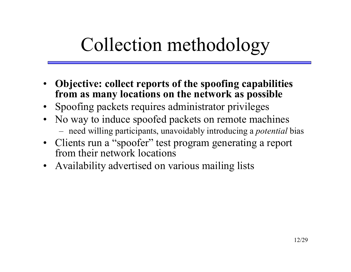# Collection methodology

- ï **Objective: collect reports of the spoofing capabilities from as many locations on the network as possible**
- Spoofing packets requires administrator privileges
- No way to induce spoofed packets on remote machines need willing participants, unavoidably introducing a *potential* bias
- Clients run a "spoofer" test program generating a report from their network locations
- Availability advertised on various mailing lists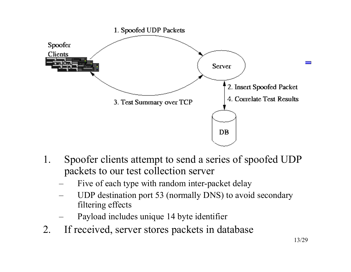

- 1. Spoofer clients attempt to send a series of spoofed UDP packets to our test collection server
	- Five of each type with random inter-packet delay
	- UDP destination port 53 (normally DNS) to avoid secondary filtering effects
	- Payload includes unique 14 byte identifier
- 2. If received, server stores packets in database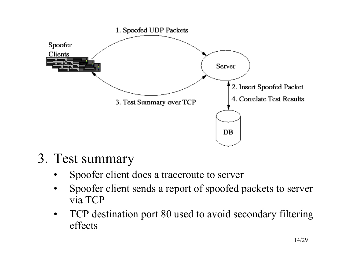

- 3. Test summary
	- $\bullet$ Spoofer client does a traceroute to server
	- ï Spoofer client sends a report of spoofed packets to server via TCP
	- ï TCP destination port 80 used to avoid secondary filtering effects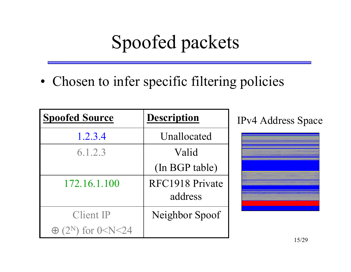# Spoofed packets

• Chosen to infer specific filtering policies

| <b>Spoofed Source</b>                     | <b>Description</b>         |  |
|-------------------------------------------|----------------------------|--|
| 1.2.3.4                                   | Unallocated                |  |
| 6.1.2.3                                   | Valid                      |  |
|                                           | (In BGP table)             |  |
| 172.16.1.100                              | RFC1918 Private<br>address |  |
| Client IP                                 | Neighbor Spoof             |  |
| $\oplus$ (2 <sup>N</sup> ) for 0 < N < 24 |                            |  |

IPv4 Address Space

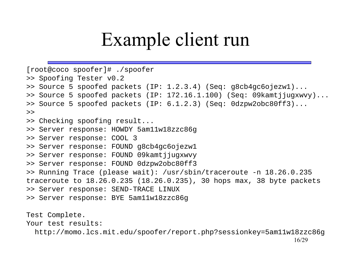## Example client run

```
[root@coco spoofer]# ./spoofer
>> Spoofing Tester v0.2
>> Source 5 spoofed packets (IP: 1.2.3.4) (Seq: g8cb4gc6ojezw1)...
>> Source 5 spoofed packets (IP: 172.16.1.100) (Seq: 09kamtjjugxwvy)...
>> Source 5 spoofed packets (IP: 6.1.2.3) (Seq: 0dzpw2obc80ff3)...
>>> Checking spoofing result...
>> Server response: HOWDY 5am11w18zzc86g
>> Server response: COOL 3
>> Server response: FOUND g8cb4gc6ojezw1
>> Server response: FOUND 09kamtjjugxwvy
>> Server response: FOUND 0dzpw2obc80ff3
>> Running Trace (please wait): /usr/sbin/traceroute -n 18.26.0.235
traceroute to 18.26.0.235 (18.26.0.235), 30 hops max, 38 byte packets
>> Server response: SEND-TRACE LINUX
>> Server response: BYE 5am11w18zzc86g
Test Complete.
Your test results:http://momo.lcs.mit.edu/spoofer/report.php?sessionkey=5am11w18zzc86g
```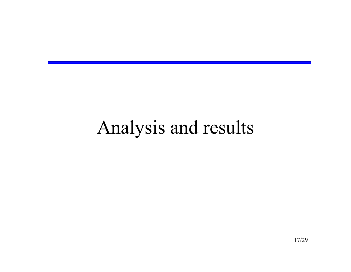## Analysis and results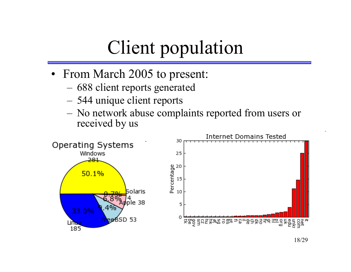# Client population

- From March 2005 to present:
	- ñ688 client reports generated
	- ñ544 unique client reports
	- No network abuse complaints reported from users or received by us

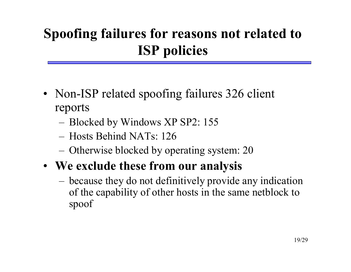#### **Spoofing failures for reasons not related to ISP policies**

- Non-ISP related spoofing failures 326 client reports
	- ñBlocked by Windows XP SP2: 155
	- Hosts Behind NATs: 126
	- Otherwise blocked by operating system: 20
- ï **We exclude these from our analysis**
	- ñ because they do not definitively provide any indication of the capability of other hosts in the same netblock to spoof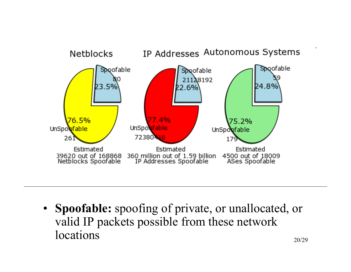

ï **Spoofable:** spoofing of private, or unallocated, or valid IP packets possible from these network locations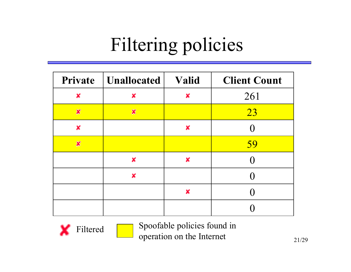# Filtering policies

|                           | <b>Private</b>   <b>Unallocated</b> | Valid | <b>Client Count</b> |
|---------------------------|-------------------------------------|-------|---------------------|
| ×                         | X                                   | ×     | 261                 |
| $\boldsymbol{\mathsf{x}}$ | $\boldsymbol{x}$                    |       | 23                  |
| ×                         |                                     | ×     |                     |
| $\boldsymbol{\chi}$       |                                     |       | 59                  |
|                           | X                                   | ×     |                     |
|                           | ×                                   |       |                     |
|                           |                                     | ×     |                     |
|                           |                                     |       |                     |



 Spoofable policies found in operation on the Internet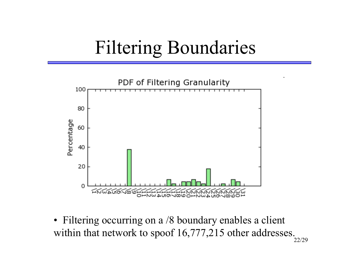# Filtering Boundaries



• Filtering occurring on a /8 boundary enables a client within that network to spoof 16,777,215 other addresses.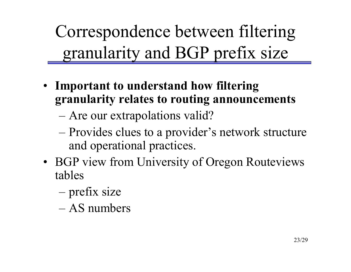Correspondence between filtering granularity and BGP prefix size

- ï **Important to understand how filtering granularity relates to routing announcements**
	- **na 1990** Are our extrapolations valid?
	- ñProvides clues to a provider's network structure and operational practices.
- BGP view from University of Oregon Routeviews tables
	- ñprefix size
	- AS numbers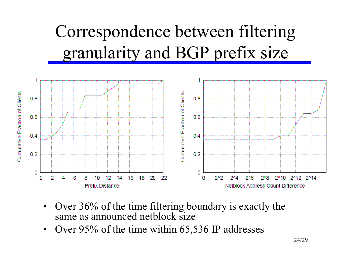## Correspondence between filtering granularity and BGP prefix size



- ï Over 36% of the time filtering boundary is exactly the same as announced netblock size
- $\bullet$ Over 95% of the time within 65,536 IP addresses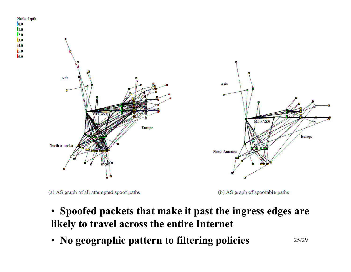

(a) AS graph of all attempted spoof paths

10.0 lı.o 12.8 3.0 4.0 §5.0 6.0

(b) AS graph of spoofable paths

- ï **Spoofed packets that make it past the ingress edges are likely to travel across the entire Internet**
- ï **No geographic pattern to filtering policies**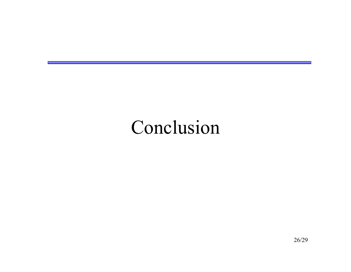### Conclusion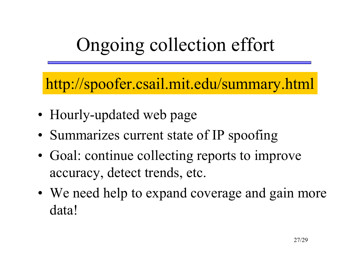# Ongoing collection effort

http://spoofer.csail.mit.edu/summary.html

- Hourly-updated web page
- Summarizes current state of IP spoofing
- Goal: continue collecting reports to improve accuracy, detect trends, etc.
- We need help to expand coverage and gain more data!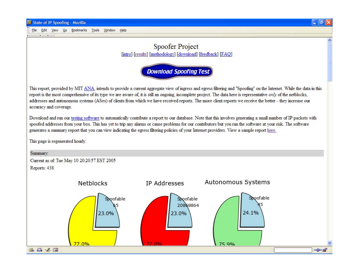estatatat batan batan

#### File Edit View Go Bookmarks Tools Window Help



#### **Spoofer Project** [intro] [results] [methodology] [download] [feedback] [FAQ]



This report, provided by MIT ANA, intends to provide a current aggregate view of ingress and egress filtering and "Spoofing" on the Internet. While the data in this report is the most comprehensive of its type we are aware of, it is still an ongoing, incomplete project. The data here is representative only of the netblocks, addresses and autonomous systems (ASes) of clients from which we have received reports. The more client reports we receive the better - they increase our accuracy and coverage.

Download and run our testing software to automatically contribute a report to our database. Note that this involves generating a small number of IP packets with spoofed addresses from your box. This has yet to trip any alarms or cause problems for our contributors but you run the software at your risk. The software generates a summary report that you can view indicating the egress filtering policies of your Internet providers. View a sample report here.

This page is regenerated hourly.

#### Summary:

Current as of: Tue May 10 20:20:57 EST 2005 Reports: 438

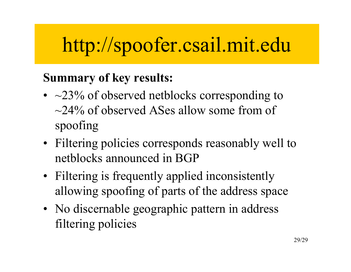# http://spoofer.csail.mit.edu

#### **Summary of key results:**

- $\sim$  23% of observed netblocks corresponding to  $\sim$ 24% of observed ASes allow some from of spoofing
- Filtering policies corresponds reasonably well to netblocks announced in BGP
- Filtering is frequently applied inconsistently allowing spoofing of parts of the address space
- No discernable geographic pattern in address filtering policies